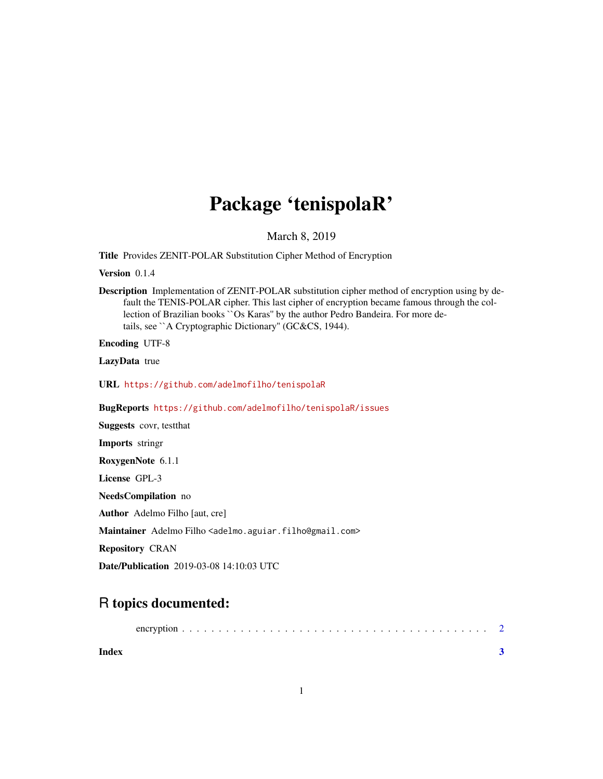## Package 'tenispolaR'

March 8, 2019

Title Provides ZENIT-POLAR Substitution Cipher Method of Encryption

Version 0.1.4

Description Implementation of ZENIT-POLAR substitution cipher method of encryption using by default the TENIS-POLAR cipher. This last cipher of encryption became famous through the collection of Brazilian books ``Os Karas'' by the author Pedro Bandeira. For more details, see ``A Cryptographic Dictionary'' (GC&CS, 1944).

Encoding UTF-8

LazyData true

URL <https://github.com/adelmofilho/tenispolaR>

BugReports <https://github.com/adelmofilho/tenispolaR/issues>

Suggests covr, testthat

Imports stringr

RoxygenNote 6.1.1

License GPL-3

NeedsCompilation no

Author Adelmo Filho [aut, cre]

Maintainer Adelmo Filho <adelmo.aguiar.filho@gmail.com>

Repository CRAN

Date/Publication 2019-03-08 14:10:03 UTC

### R topics documented:

|--|--|--|--|--|

**Index** [3](#page-2-0)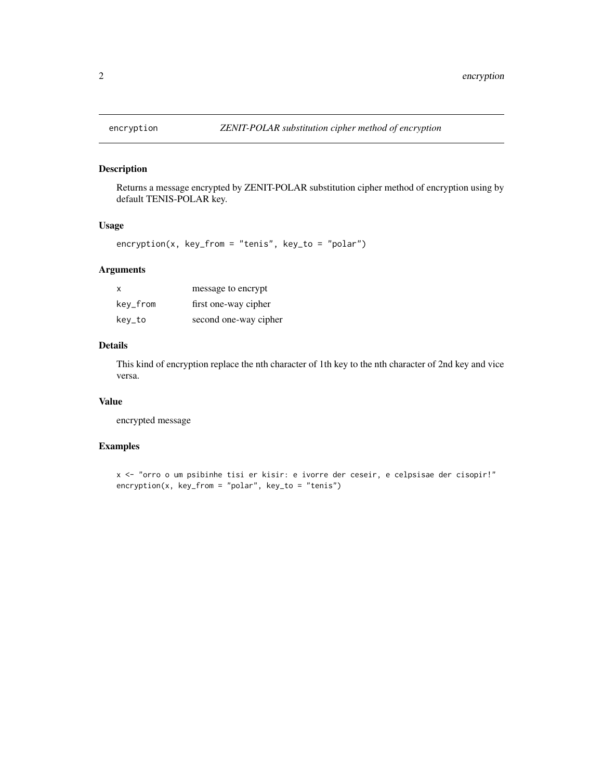<span id="page-1-0"></span>

#### Description

Returns a message encrypted by ZENIT-POLAR substitution cipher method of encryption using by default TENIS-POLAR key.

#### Usage

encryption(x, key\_from = "tenis", key\_to = "polar")

#### Arguments

| X        | message to encrypt    |
|----------|-----------------------|
| key_from | first one-way cipher  |
| kev_to   | second one-way cipher |

#### Details

This kind of encryption replace the nth character of 1th key to the nth character of 2nd key and vice versa.

#### Value

encrypted message

#### Examples

```
x <- "orro o um psibinhe tisi er kisir: e ivorre der ceseir, e celpsisae der cisopir!"
encryption(x, key_from = "polar", key_to = "tenis")
```